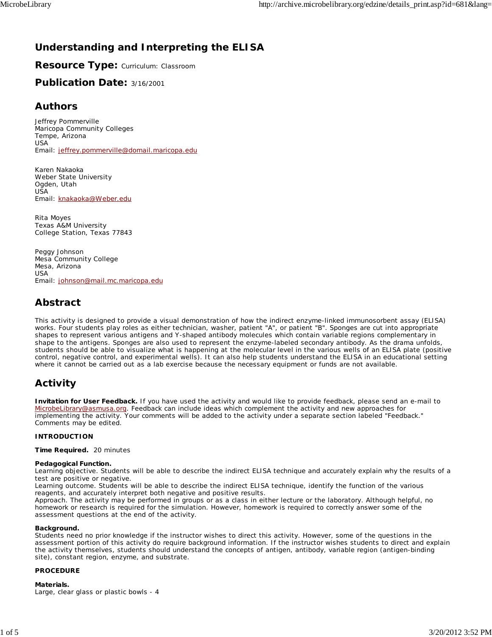## **Understanding and Interpreting the ELISA**

**Resource Type:** Curriculum: Classroom

**Publication Date:** 3/16/2001

## **Authors**

*Jeffrey Pommerville* Maricopa Community Colleges Tempe, Arizona USA Email: jeffrey.pommerville@domail.maricopa.edu

*Karen Nakaoka* Weber State University Ogden, Utah USA Email: knakaoka@Weber.edu

*Rita Moyes* Texas A&M University College Station, Texas 77843

*Peggy Johnson* Mesa Community College Mesa, Arizona USA Email: johnson@mail.mc.maricopa.edu

## **Abstract**

This activity is designed to provide a visual demonstration of how the indirect enzyme-linked immunosorbent assay (ELISA) works. Four students play roles as either technician, washer, patient "A", or patient "B". Sponges are cut into appropriate shapes to represent various antigens and Y-shaped antibody molecules which contain variable regions complementary in shape to the antigens. Sponges are also used to represent the enzyme-labeled secondary antibody. As the drama unfolds, students should be able to visualize what is happening at the molecular level in the various wells of an ELISA plate (positive control, negative control, and experimental wells). It can also help students understand the ELISA in an educational setting where it cannot be carried out as a lab exercise because the necessary equipment or funds are not available.

# **Activity**

**Invitation for User Feedback.** If you have used the activity and would like to provide feedback, please send an e-mail to MicrobeLibrary@asmusa.org. Feedback can include ideas which complement the activity and new approaches for implementing the activity. Your comments will be added to the activity under a separate section labeled "Feedback." Comments may be edited.

## **INTRODUCTION**

**Time Required.** 20 minutes

### **Pedagogical Function.**

*Learning objective*. Students will be able to describe the indirect ELISA technique and accurately explain why the results of a test are positive or negative.

*Learning outcome*. Students will be able to describe the indirect ELISA technique, identify the function of the various reagents, and accurately interpret both negative and positive results.

*Approach*. The activity may be performed in groups or as a class in either lecture or the laboratory. Although helpful, no homework or research is required for the simulation. However, homework is required to correctly answer some of the assessment questions at the end of the activity.

### **Background.**

Students need no prior knowledge if the instructor wishes to direct this activity. However, some of the questions in the assessment portion of this activity do require background information. If the instructor wishes students to direct and explain the activity themselves, students should understand the concepts of antigen, antibody, variable region (antigen-binding site), constant region, enzyme, and substrate.

## **PROCEDURE**

### **Materials.**

Large, clear glass or plastic bowls - 4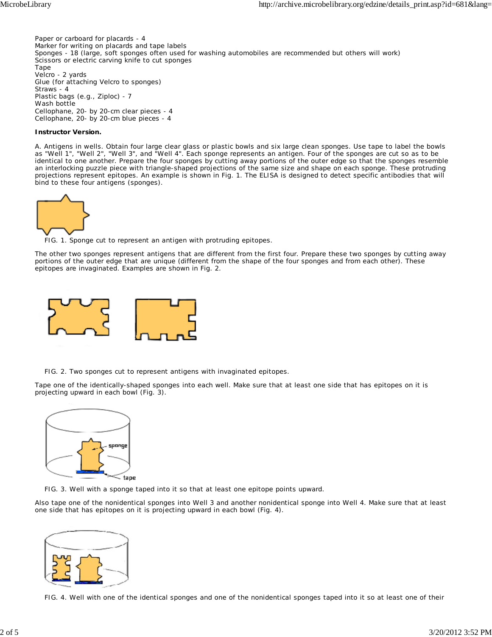Paper or carboard for placards - 4 Marker for writing on placards and tape labels Sponges - 18 (large, soft sponges often used for washing automobiles are recommended but others will work) Scissors or electric carving knife to cut sponges Tape Velcro - 2 yards Glue (for attaching Velcro to sponges) Straws - 4 Plastic bags (e.g., Ziploc) - 7 Wash bottle Cellophane, 20- by 20-cm clear pieces - 4 Cellophane, 20- by 20-cm blue pieces - 4

#### **Instructor Version.**

*A. Antigens in wells.* Obtain four large clear glass or plastic bowls and six large clean sponges. Use tape to label the bowls as "Well 1", "Well 2", "Well 3", and "Well 4". Each sponge represents an antigen. Four of the sponges are cut so as to be identical to one another. Prepare the four sponges by cutting away portions of the outer edge so that the sponges resemble an interlocking puzzle piece with triangle-shaped projections of the same size and shape on each sponge. These protruding projections represent epitopes. An example is shown in Fig. 1. The ELISA is designed to detect specific antibodies that will bind to these four antigens (sponges).



FIG. 1. Sponge cut to represent an antigen with protruding epitopes.

The other two sponges represent antigens that are different from the first four. Prepare these two sponges by cutting away portions of the outer edge that are unique (different from the shape of the four sponges and from each other). These epitopes are invaginated. Examples are shown in Fig. 2.



FIG. 2. Two sponges cut to represent antigens with invaginated epitopes.

Tape one of the identically-shaped sponges into each well. Make sure that at least one side that has epitopes on it is projecting upward in each bowl (Fig. 3).



FIG. 3. Well with a sponge taped into it so that at least one epitope points upward.

Also tape one of the nonidentical sponges into Well 3 and another nonidentical sponge into Well 4. Make sure that at least one side that has epitopes on it is projecting upward in each bowl (Fig. 4).



FIG. 4. Well with one of the identical sponges and one of the nonidentical sponges taped into it so at least one of their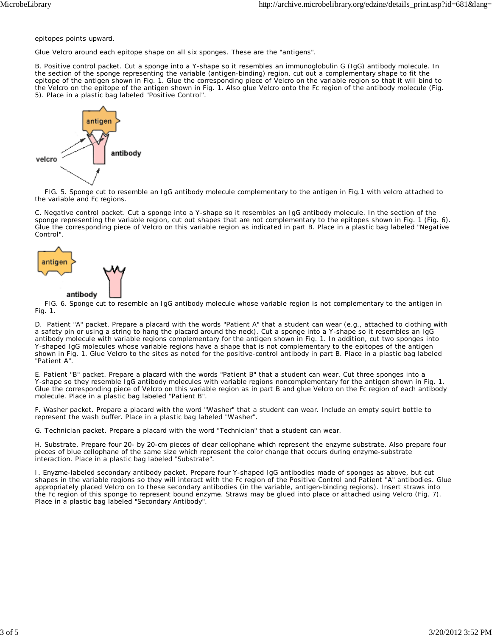epitopes points upward.

Glue Velcro around each epitope shape on all six sponges. These are the "antigens".

*B. Positive control packet.* Cut a sponge into a Y-shape so it resembles an immunoglobulin G (IgG) antibody molecule. In the section of the sponge representing the variable (antigen-binding) region, cut out a complementary shape to fit the epitope of the antigen shown in Fig. 1. Glue the corresponding piece of Velcro on the variable region so that it will bind to the Velcro on the epitope of the antigen shown in Fig. 1. Also glue Velcro onto the Fc region of the antibody molecule (Fig. 5). Place in a plastic bag labeled "Positive Control".



 FIG. 5. Sponge cut to resemble an IgG antibody molecule complementary to the antigen in Fig.1 with velcro attached to the variable and Fc regions.

*C. Negative control packet.* Cut a sponge into a Y-shape so it resembles an IgG antibody molecule. In the section of the sponge representing the variable region, cut out shapes that are not complementary to the epitopes shown in Fig. 1 (Fig. 6). Glue the corresponding piece of Velcro on this variable region as indicated in part B. Place in a plastic bag labeled "Negative Control".



 FIG. 6. Sponge cut to resemble an IgG antibody molecule whose variable region is not complementary to the antigen in Fig. 1.

*D. Patient "A" packet.* Prepare a placard with the words "Patient A" that a student can wear (e.g., attached to clothing with a safety pin or using a string to hang the placard around the neck). Cut a sponge into a Y-shape so it resembles an IgG antibody molecule with variable regions complementary for the antigen shown in Fig. 1. In addition, cut two sponges into Y-shaped IgG molecules whose variable regions have a shape that is not complementary to the epitopes of the antigen shown in Fig. 1. Glue Velcro to the sites as noted for the positive-control antibody in part B. Place in a plastic bag labeled "Patient A".

*E. Patient "B" packet.* Prepare a placard with the words "Patient B" that a student can wear. Cut three sponges into a Y-shape so they resemble IgG antibody molecules with variable regions noncomplementary for the antigen shown in Fig. 1. Glue the corresponding piece of Velcro on this variable region as in part B and glue Velcro on the Fc region of each antibody molecule. Place in a plastic bag labeled "Patient B".

*F. Washer packet.* Prepare a placard with the word "Washer" that a student can wear. Include an empty squirt bottle to represent the wash buffer. Place in a plastic bag labeled "Washer".

*G. Technician packet.* Prepare a placard with the word "Technician" that a student can wear.

*H. Substrate.* Prepare four 20- by 20-cm pieces of clear cellophane which represent the enzyme substrate. Also prepare four pieces of blue cellophane of the same size which represent the color change that occurs during enzyme-substrate interaction. Place in a plastic bag labeled "Substrate".

*I. Enyzme-labeled secondary antibody packet.* Prepare four Y-shaped IgG antibodies made of sponges as above, but cut shapes in the variable regions so they will interact with the Fc region of the Positive Control and Patient "A" antibodies. Glue appropriately placed Velcro on to these secondary antibodies (in the variable, antigen-binding regions). Insert straws into the Fc region of this sponge to represent bound enzyme. Straws may be glued into place or attached using Velcro (Fig. 7). Place in a plastic bag labeled "Secondary Antibody".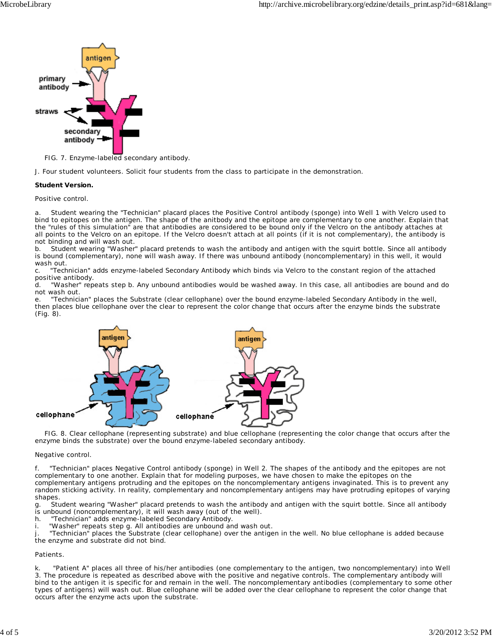

FIG. 7. Enzyme-labeled secondary antibody.

*J. Four student volunteers.* Solicit four students from the class to participate in the demonstration.

#### **Student Version.**

*Positive control.*

a. Student wearing the "Technician" placard places the Positive Control antibody (sponge) into Well 1 with Velcro used to bind to epitopes on the antigen. The shape of the anitbody and the epitope are complementary to one another. Explain that the "rules of this simulation" are that antibodies are considered to be bound only if the Velcro on the antibody attaches at all points to the Velcro on an epitope. If the Velcro doesn't attach at all points (if it is not complementary), the antibody is not binding and will wash out.

b. Student wearing "Washer" placard pretends to wash the antibody and antigen with the squirt bottle. Since all antibody is bound (complementary), none will wash away. If there was unbound antibody (noncomplementary) in this well, it would wash out.

c. "Technician" adds enzyme-labeled Secondary Antibody which binds via Velcro to the constant region of the attached positive antibody.

d. "Washer" repeats step b. Any unbound antibodies would be washed away. In this case, all antibodies are bound and do not wash out.

e. "Technician" places the Substrate (clear cellophane) over the bound enzyme-labeled Secondary Antibody in the well, then places blue cellophane over the clear to represent the color change that occurs after the enzyme binds the substrate (Fig. 8).



 FIG. 8. Clear cellophane (representing substrate) and blue cellophane (representing the color change that occurs after the enzyme binds the substrate) over the bound enzyme-labeled secondary antibody.

#### *Negative control.*

f. "Technician" places Negative Control antibody (sponge) in Well 2. The shapes of the antibody and the epitopes are not complementary to one another. Explain that for modeling purposes, we have chosen to make the epitopes on the complementary antigens protruding and the epitopes on the noncomplementary antigens invaginated. This is to prevent any random sticking activity. In reality, complementary and noncomplementary antigens may have protruding epitopes of varying shapes.

g. Student wearing "Washer" placard pretends to wash the antibody and antigen with the squirt bottle. Since all antibody is unbound (noncomplementary), it will wash away (out of the well).

h. "Technician" adds enzyme-labeled Secondary Antibody.

i. "Washer" repeats step g. All antibodies are unbound and wash out.

j. "Technician" places the Substrate (clear cellophane) over the antigen in the well. No blue cellophane is added because the enzyme and substrate did not bind.

#### *Patients.*

k. "Patient A" places all three of his/her antibodies (one complementary to the antigen, two noncomplementary) into Well 3. The procedure is repeated as described above with the positive and negative controls. The complementary antibody will bind to the antigen it is specific for and remain in the well. The noncomplementary antibodies (complementary to some other types of antigens) will wash out. Blue cellophane will be added over the clear cellophane to represent the color change that occurs after the enzyme acts upon the substrate.